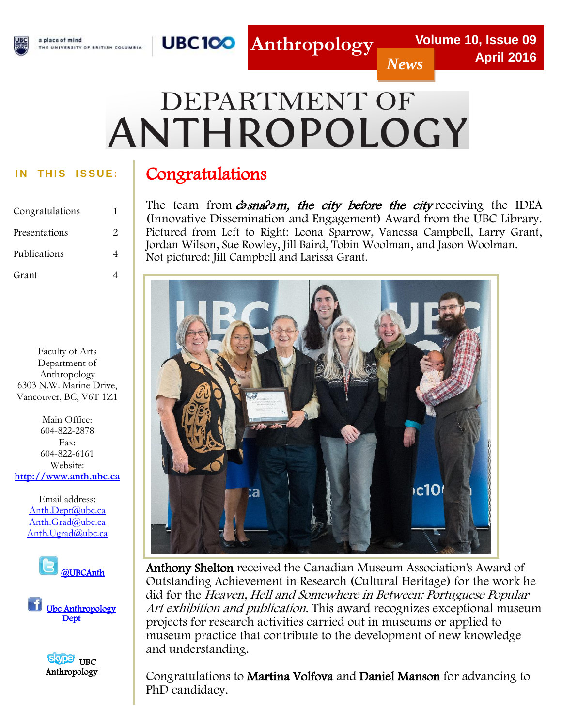## a place of mind

THE UNIVERSITY OF BRITISH COLUMBIA



*News*

# DEPARTMENT OF ANTHROPOLOGY

I

**Anthropology**

| Congratulations |   |
|-----------------|---|
| Presentations   | 2 |
| Publications    |   |
| Grant           |   |

Faculty of Arts Department of Anthropology 6303 N.W. Marine Drive, Vancouver, BC, V6T 1Z1

 **[http://www.anth.ubc.ca](http://www.anth.ubc.ca/)** Main Office: 604-822-2878 Fax: 604-822-6161 Website:

> Anth.Dept(@ubc.ca<br>Anth.Grad(@ubc.ca [Anth.Ugrad@ubc.ca](mailto:Anth.Ugrad@ubc.ca) Email address: [Anth.Dept@ubc.ca](mailto:Anth.Dept@ubc.ca)



l U Ubc Anthropology<br>Dept **Dept** 



## IN THIS ISSUE: | Congratulations

The team from *chsnalom, the city before the city* receiving the IDEA (Innovative Dissemination and Engagement) Award from the UBC Library. Pictured from Left to Right: Leona Sparrow, Vanessa Campbell, Larry Grant, Jordan Wilson, Sue Rowley, Jill Baird, Tobin Woolman, and Jason Woolman. Not pictured: Jill Campbell and Larissa Grant.



Anthony Shelton received the Canadian Museum Association's Award of Outstanding Achievement in Research (Cultural Heritage) for the work he did for the Heaven, Hell and Somewhere in Between: Portuguese Popular Art exhibition and publication. This award recognizes exceptional museum projects for research activities carried out in museums or applied to museum practice that contribute to the development of new knowledge and understanding.

Congratulations to Martina Volfova and Daniel Manson for advancing to PhD candidacy.

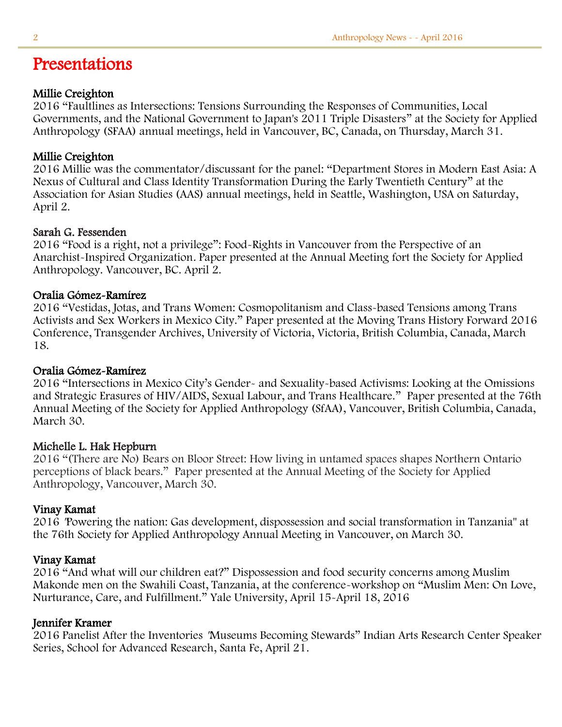## Presentations

#### Millie Creighton

2016 "Faultlines as Intersections: Tensions Surrounding the Responses of Communities, Local Governments, and the National Government to Japan's 2011 Triple Disasters" at the Society for Applied Anthropology (SFAA) annual meetings, held in Vancouver, BC, Canada, on Thursday, March 31.

#### Millie Creighton

2016 Millie was the commentator/discussant for the panel: "Department Stores in Modern East Asia: A Nexus of Cultural and Class Identity Transformation During the Early Twentieth Century" at the Association for Asian Studies (AAS) annual meetings, held in Seattle, Washington, USA on Saturday, April 2.

#### Sarah G. Fessenden

2016 "Food is a right, not a privilege": Food-Rights in Vancouver from the Perspective of an Anarchist-Inspired Organization. Paper presented at the Annual Meeting fort the Society for Applied Anthropology. Vancouver, BC. April 2.

#### Oralia Gómez-Ramírez

2016 "Vestidas, Jotas, and Trans Women: Cosmopolitanism and Class-based Tensions among Trans Activists and Sex Workers in Mexico City." Paper presented at the Moving Trans History Forward 2016 Conference, Transgender Archives, University of Victoria, Victoria, British Columbia, Canada, March 18.

#### Oralia Gómez-Ramírez

2016 "Intersections in Mexico City's Gender- and Sexuality-based Activisms: Looking at the Omissions and Strategic Erasures of HIV/AIDS, Sexual Labour, and Trans Healthcare." Paper presented at the 76th Annual Meeting of the Society for Applied Anthropology (SfAA), Vancouver, British Columbia, Canada, March 30.

#### Michelle L. Hak Hepburn

2016 "(There are No) Bears on Bloor Street: How living in untamed spaces shapes Northern Ontario perceptions of black bears." Paper presented at the Annual Meeting of the Society for Applied Anthropology, Vancouver, March 30.

#### Vinay Kamat

2016 "Powering the nation: Gas development, dispossession and social transformation in Tanzania" at the 76th Society for Applied Anthropology Annual Meeting in Vancouver, on March 30.

#### Vinay Kamat

2016 "And what will our children eat?" Dispossession and food security concerns among Muslim Makonde men on the Swahili Coast, Tanzania, at the conference-workshop on "Muslim Men: On Love, Nurturance, Care, and Fulfillment." Yale University, April 15-April 18, 2016

#### Jennifer Kramer

2016 Panelist After the Inventories "Museums Becoming Stewards" Indian Arts Research Center Speaker Series, School for Advanced Research, Santa Fe, April 21.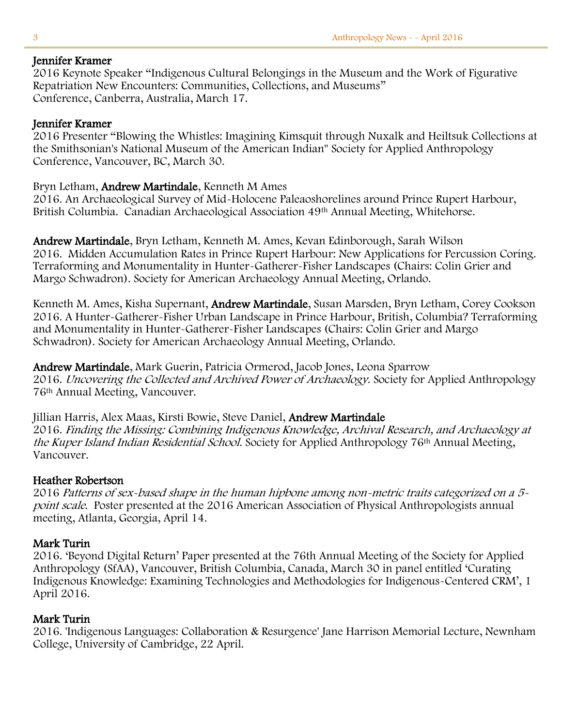#### Jennifer Kramer

2016 Keynote Speaker "Indigenous Cultural Belongings in the Museum and the Work of Figurative Repatriation New Encounters: Communities, Collections, and Museums" Conference, Canberra, Australia, March 17.

#### Jennifer Kramer

2016 Presenter "Blowing the Whistles: Imagining Kimsquit through Nuxalk and Heiltsuk Collections at the Smithsonian's National Museum of the American Indian" Society for Applied Anthropology Conference, Vancouver, BC, March 30.

#### Bryn Letham, Andrew Martindale, Kenneth M Ames

2016. An Archaeological Survey of Mid-Holocene Paleaoshorelines around Prince Rupert Harbour, British Columbia. Canadian Archaeological Association 49th Annual Meeting, Whitehorse.

Andrew Martindale, Bryn Letham, Kenneth M. Ames, Kevan Edinborough, Sarah Wilson 2016. Midden Accumulation Rates in Prince Rupert Harbour: New Applications for Percussion Coring. Terraforming and Monumentality in Hunter-Gatherer-Fisher Landscapes (Chairs: Colin Grier and Margo Schwadron). Society for American Archaeology Annual Meeting, Orlando.

Kenneth M. Ames, Kisha Supernant, Andrew Martindale, Susan Marsden, Bryn Letham, Corey Cookson 2016. A Hunter-Gatherer-Fisher Urban Landscape in Prince Harbour, British, Columbia? Terraforming and Monumentality in Hunter-Gatherer-Fisher Landscapes (Chairs: Colin Grier and Margo Schwadron). Society for American Archaeology Annual Meeting, Orlando.

Andrew Martindale, Mark Guerin, Patricia Ormerod, Jacob Jones, Leona Sparrow 2016. Uncovering the Collected and Archived Power of Archaeology. Society for Applied Anthropology 76th Annual Meeting, Vancouver.

Jillian Harris, Alex Maas, Kirsti Bowie, Steve Daniel, Andrew Martindale 2016. Finding the Missing: Combining Indigenous Knowledge, Archival Research, and Archaeology at the Kuper Island Indian Residential School. Society for Applied Anthropology 76<sup>th</sup> Annual Meeting, Vancouver.

#### Heather Robertson

2016 Patterns of sex-based shape in the human hipbone among non-metric traits categorized on a 5 point scale. Poster presented at the 2016 American Association of Physical Anthropologists annual meeting, Atlanta, Georgia, April 14.

#### Mark Turin

2016. 'Beyond Digital Return' Paper presented at the 76th Annual Meeting of the Society for Applied Anthropology (SfAA), Vancouver, British Columbia, Canada, March 30 in panel entitled 'Curating Indigenous Knowledge: Examining Technologies and Methodologies for Indigenous-Centered CRM', 1 April 2016.

#### Mark Turin

2016. 'Indigenous Languages: Collaboration & Resurgence' Jane Harrison Memorial Lecture, Newnham College, University of Cambridge, 22 April.